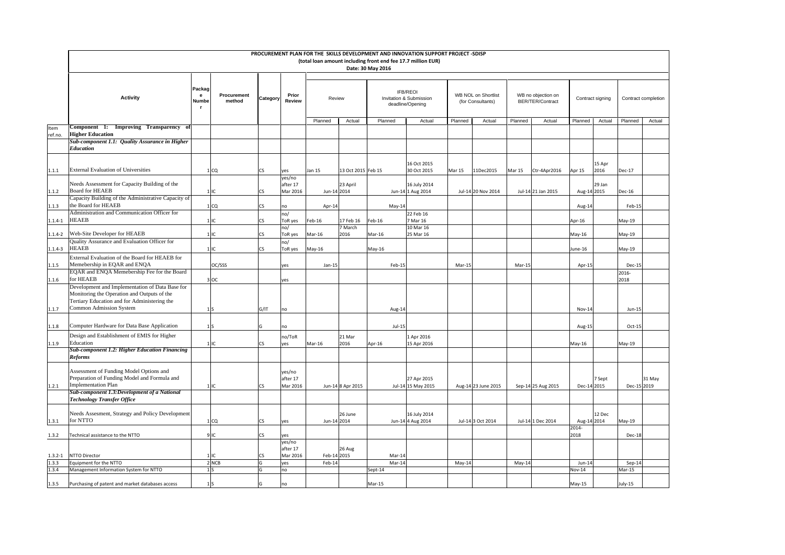|                      |                                                                                                |                   |                       |                          |                                |                       |                    |                                                                                   |                                             | PROCUREMENT PLAN FOR THE SKILLS DEVELOPMENT AND INNOVATION SUPPORT PROJECT -SDISP |          |                                        |                      |                  |               |                     |
|----------------------|------------------------------------------------------------------------------------------------|-------------------|-----------------------|--------------------------|--------------------------------|-----------------------|--------------------|-----------------------------------------------------------------------------------|---------------------------------------------|-----------------------------------------------------------------------------------|----------|----------------------------------------|----------------------|------------------|---------------|---------------------|
|                      |                                                                                                |                   |                       |                          |                                |                       |                    | (total loan amount including front end fee 17.7 million EUR)<br>Date: 30 May 2016 |                                             |                                                                                   |          |                                        |                      |                  |               |                     |
|                      |                                                                                                | Packag            |                       |                          |                                |                       |                    |                                                                                   | <b>IFB/REOI</b>                             |                                                                                   |          |                                        |                      |                  |               |                     |
|                      | <b>Activity</b>                                                                                | e<br>Numbe        | Procurement<br>method | Category                 | Prior<br>Review                | Review                |                    |                                                                                   | Invitation & Submission<br>deadline/Opening | <b>WB NOL on Shortlist</b><br>(for Consultants)                                   |          | WB no objection on<br>BER/TER/Contract |                      | Contract signing |               | Contract completion |
|                      |                                                                                                |                   |                       |                          |                                | Planned               | Actual             | Planned                                                                           | Actual                                      | Planned<br>Actual                                                                 | Planned  | Actual                                 | Planned              | Actual           | Planned       | Actual              |
| Item<br>ref.no.      | Component 1: Improving Transparency of<br><b>Higher Education</b>                              |                   |                       |                          |                                |                       |                    |                                                                                   |                                             |                                                                                   |          |                                        |                      |                  |               |                     |
|                      | Sub-component 1.1: Quality Assurance in Higher<br><b>Education</b>                             |                   |                       |                          |                                |                       |                    |                                                                                   |                                             |                                                                                   |          |                                        |                      |                  |               |                     |
|                      |                                                                                                |                   |                       |                          |                                |                       |                    |                                                                                   | 16 Oct 2015                                 |                                                                                   |          |                                        |                      | 15 Apr           |               |                     |
| 1.1.1                | <b>External Evaluation of Universities</b>                                                     |                   | 1 <sub>°</sub>        | <b>CS</b>                | yes                            | Jan 15                | 13 Oct 2015 Feb 15 |                                                                                   | 30 Oct 2015                                 | Mar 15<br>11Dec2015                                                               | Mar 15   | Ctr-4Apr2016                           | Apr 15               | 2016             | Dec-17        |                     |
| 1.1.2                | Needs Assessment for Capacity Building of the<br><b>Board for HEAEB</b>                        | $1$ IC            |                       | CS                       | yes/no<br>after 17<br>Mar 2016 | Jun-14 2014           | 23 April           |                                                                                   | 16 July 2014<br>Jun-14 1 Aug 2014           | Jul-14 20 Nov 2014                                                                |          | Jul-14 21 Jan 2015                     | Aug-14 2015          | 29 Jan           | Dec-16        |                     |
| 1.1.3                | Capacity Building of the Administrative Capacity of<br>the Board for HEAEB                     |                   | 1 <sub>CO</sub>       | <b>CS</b>                | no                             | Apr-14                |                    | $May-14$                                                                          |                                             |                                                                                   |          |                                        | Aug-14               |                  | Feb-15        |                     |
|                      | Administration and Communication Officer for                                                   |                   |                       |                          | no/                            |                       |                    |                                                                                   | 22 Feb 16                                   |                                                                                   |          |                                        |                      |                  |               |                     |
| $1.1.4 - 1$          | HEAEB                                                                                          | $1$ <sub>IC</sub> |                       | <b>CS</b>                | ToR yes                        | Feb-16                | 17 Feb 16          | Feb-16                                                                            | 7 Mar 16                                    |                                                                                   |          |                                        | Apr-16               |                  | May-19        |                     |
| $1.1.4 - 2$          | Web-Site Developer for HEAEB                                                                   | 1IC               |                       | $\mathsf{CS}\phantom{0}$ | no/<br>ToR yes                 | Mar-16                | 7 March<br>2016    | Mar-16                                                                            | 10 Mar 16<br>25 Mar 16                      |                                                                                   |          |                                        | May-16               |                  | May-19        |                     |
| $1.1.4 - 3$          | Quality Assurance and Evaluation Officer for<br><b>HEAEB</b>                                   | $1$ IC            |                       | CS                       | no/<br>ToR yes                 | May-16                |                    | May-16                                                                            |                                             |                                                                                   |          |                                        | June-16              |                  | May-19        |                     |
| 1.1.5                | External Evaluation of the Board for HEAEB for<br>Memebership in EQAR and ENQA                 |                   | OC/SSS                |                          | yes                            | Jan-15                |                    | Feb-15                                                                            |                                             | Mar-15                                                                            | $Mar-15$ |                                        | Apr-15               |                  | Dec-15        |                     |
| 1.1.6                | EQAR and ENQA Memebership Fee for the Board<br>for HEAEB                                       |                   | 3 OC                  |                          | yes                            |                       |                    |                                                                                   |                                             |                                                                                   |          |                                        |                      |                  | 2016-<br>2018 |                     |
|                      | Development and Implementation of Data Base for<br>Monitoring the Operation and Outputs of the |                   |                       |                          |                                |                       |                    |                                                                                   |                                             |                                                                                   |          |                                        |                      |                  |               |                     |
| 1.1.7                | Tertiary Education and for Administering the<br><b>Common Admission System</b>                 | $1\vert S$        |                       | G/IT                     | no                             |                       |                    | Aug-14                                                                            |                                             |                                                                                   |          |                                        | Nov-14               |                  | Jun-15        |                     |
| 1.1.8                | Computer Hardware for Data Base Application                                                    | 1 <sub>S</sub>    |                       | G                        | no                             |                       |                    | $Jul-15$                                                                          |                                             |                                                                                   |          |                                        | Aug-15               |                  | $Oct-15$      |                     |
| 1.1.9                | Design and Establishment of EMIS for Higher<br>Education                                       | $1$ IC            |                       | CS                       | no/ToR<br>yes                  | Mar-16                | 21 Mar<br>2016     | Apr-16                                                                            | 1 Apr 2016<br>15 Apr 2016                   |                                                                                   |          |                                        | May-16               |                  | May-19        |                     |
|                      | <b>Sub-component 1.2: Higher Education Financing</b><br><b>Reforms</b>                         |                   |                       |                          |                                |                       |                    |                                                                                   |                                             |                                                                                   |          |                                        |                      |                  |               |                     |
|                      | Assessment of Funding Model Options and                                                        |                   |                       |                          | yes/no                         |                       |                    |                                                                                   |                                             |                                                                                   |          |                                        |                      |                  |               |                     |
| 1.2.1                | Preparation of Funding Model and Formula and<br><b>Implementation Plan</b>                     | $1$ IC            |                       | CS.                      | after 17<br>Mar 2016           |                       | Jun-14 8 Apr 2015  |                                                                                   | 27 Apr 2015<br>Jul-14 15 May 2015           | Aug-14 23 June 2015                                                               |          | Sep-14 25 Aug 2015                     | Dec-14 2015          | Sept             | Dec-15 2019   | 31 May              |
|                      | Sub-component 1.3:Development of a National<br><b>Technology Transfer Office</b>               |                   |                       |                          |                                |                       |                    |                                                                                   |                                             |                                                                                   |          |                                        |                      |                  |               |                     |
|                      | Needs Assesment, Strategy and Policy Development                                               |                   |                       |                          |                                |                       | 26 June            |                                                                                   | 16 July 2014                                |                                                                                   |          |                                        |                      | 12 Dec           |               |                     |
| 1.3.1                | for NTTO                                                                                       |                   | 1 <sub>CO</sub>       | CS                       | yes                            | Jun-14 2014           |                    |                                                                                   | Jun-14 4 Aug 2014                           | Jul-14 3 Oct 2014                                                                 |          | Jul-14 1 Dec 2014                      | Aug-14 2014<br>2014- |                  | May-19        |                     |
| 1.3.2                | Technical assistance to the NTTO                                                               | 9lic              |                       | <b>CS</b>                | yes<br>yes/no                  |                       |                    |                                                                                   |                                             |                                                                                   |          |                                        | 2018                 |                  | Dec-18        |                     |
|                      |                                                                                                |                   |                       |                          | after 17                       |                       | 26 Aug             |                                                                                   |                                             |                                                                                   |          |                                        |                      |                  |               |                     |
| $1.3.2 - 1$<br>1.3.3 | NTTO Director<br>Equipment for the NTTO                                                        | 1IC               | 2 NCB                 | CS<br>G                  | Mar 2016<br>yes                | Feb-14 2015<br>Feb-14 |                    | Mar-14<br>Mar-14                                                                  |                                             | May-14                                                                            | $May-14$ |                                        | Jun-14               |                  | Sep-14        |                     |
| 1.3.4                | Management Information System for NTTO                                                         | 1S                |                       | G                        | no                             |                       |                    | Sept-14                                                                           |                                             |                                                                                   |          |                                        | Nov-14               |                  | $Mar-15$      |                     |
|                      |                                                                                                |                   |                       |                          |                                |                       |                    |                                                                                   |                                             |                                                                                   |          |                                        |                      |                  |               |                     |
| 1.3.5                | Purchasing of patent and market databases access                                               | 1S                |                       | G                        | no                             |                       |                    | Mar-15                                                                            |                                             |                                                                                   |          |                                        | May-15               |                  | July-15       |                     |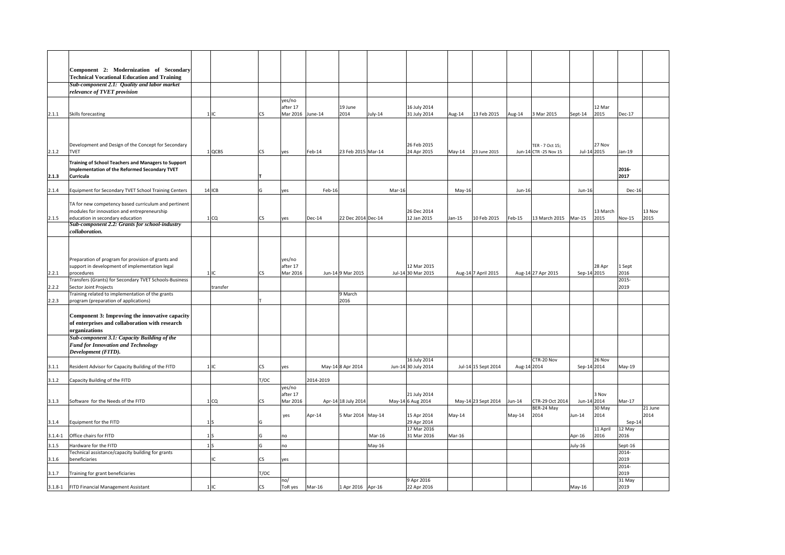|             | Component 2: Modernization of Secondary<br><b>Technical Vocational Education and Training</b>                      |                 |           |                                        |           |                     |          |                                     |          |                     |        |                                          |             |                  |                  |                 |
|-------------|--------------------------------------------------------------------------------------------------------------------|-----------------|-----------|----------------------------------------|-----------|---------------------|----------|-------------------------------------|----------|---------------------|--------|------------------------------------------|-------------|------------------|------------------|-----------------|
|             | Sub-component 2.1: Quality and labor market                                                                        |                 |           |                                        |           |                     |          |                                     |          |                     |        |                                          |             |                  |                  |                 |
|             | relevance of TVET provision                                                                                        |                 |           |                                        |           |                     |          |                                     |          |                     |        |                                          |             |                  |                  |                 |
| 2.1.1       | Skills forecasting                                                                                                 | $1$ IC          | CS        | yes/no<br>after 17<br>Mar 2016 June-14 |           | 19 June<br>2014     | July-14  | 16 July 2014<br>31 July 2014        | Aug-14   | 13 Feb 2015         | Aug-14 | 3 Mar 2015                               | Sept-14     | 12 Mar<br>2015   | <b>Dec-17</b>    |                 |
|             |                                                                                                                    |                 |           |                                        |           |                     |          |                                     |          |                     |        |                                          |             |                  |                  |                 |
| 2.1.2       | Development and Design of the Concept for Secondary<br><b>TVET</b>                                                 | 1 QCBS          | CS        | yes                                    | Feb-14    | 23 Feb 2015 Mar-14  |          | 26 Feb 2015<br>24 Apr 2015          | May-14   | 23 June 2015        |        | TER - 7 Oct 15:<br>Jun-14 CTR -25 Nov 15 | Jul-14 2015 | 27 Nov           | Jan-19           |                 |
| 2.1.3       | Training of School Teachers and Managers to Support<br>Implementation of the Reformed Secondary TVET<br>Curricula  |                 |           |                                        |           |                     |          |                                     |          |                     |        |                                          |             |                  | 2016-<br>2017    |                 |
| 2.1.4       | Equipment for Secondary TVET School Training Centers                                                               | 14 ICB          | G         | yes                                    | Feb-16    |                     | Mar-16   |                                     | $May-16$ |                     | Jun-16 |                                          | Jun-16      |                  | Dec-16           |                 |
|             | TA for new competency based curriculum and pertinent<br>modules for innovation and entrepreneurship                |                 |           |                                        |           |                     |          | 26 Dec 2014                         |          |                     |        |                                          |             | 13 March         |                  | 13 Nov          |
| 2.1.5       | education in secondary education<br>Sub-component 2.2: Grants for school-industry<br>collaboration.                | 1 <sub>cc</sub> | <b>CS</b> | yes                                    | Dec-14    | 22 Dec 2014 Dec-14  |          | 12 Jan 2015                         | Jan-15   | 10 Feb 2015         | Feb-15 | 13 March 2015                            | Mar-15      | 2015             | Nov-15           | 2015            |
|             |                                                                                                                    |                 |           |                                        |           |                     |          |                                     |          |                     |        |                                          |             |                  |                  |                 |
|             | Preparation of program for provision of grants and<br>support in development of implementation legal<br>procedures | $1$ IC          | <b>CS</b> | yes/no<br>after 17<br>Mar 2016         |           | Jun-14 9 Mar 2015   |          | 12 Mar 2015<br>Jul-14 30 Mar 2015   |          |                     |        |                                          | Sep-14 2015 | 28 Apr           | 1 Sept<br>2016   |                 |
| 2.2.1       | Transfers (Grants) for Secondary TVET Schools-Business                                                             |                 |           |                                        |           |                     |          |                                     |          | Aug-14 7 April 2015 |        | Aug-14 27 Apr 2015                       |             |                  | 2015-            |                 |
| 2.2.2       | Sector Joint Projects                                                                                              | transfer        |           |                                        |           |                     |          |                                     |          |                     |        |                                          |             |                  | 2019             |                 |
| 2.2.3       | Training related to implementation of the grants<br>program (preparation of applications)                          |                 |           |                                        |           | 9 March<br>2016     |          |                                     |          |                     |        |                                          |             |                  |                  |                 |
|             | Component 3: Improving the innovative capacity<br>of enterprises and collaboration with research<br>organizations  |                 |           |                                        |           |                     |          |                                     |          |                     |        |                                          |             |                  |                  |                 |
|             | Sub-component 3.1: Capacity Building of the<br><b>Fund for Innovation and Technology</b><br>Development (FITD).    |                 |           |                                        |           |                     |          |                                     |          |                     |        |                                          |             |                  |                  |                 |
| 3.1.1       | Resident Advisor for Capacity Building of the FITD                                                                 | 1IC             | <b>CS</b> | yes                                    |           | May-14 8 Apr 2014   |          | 16 July 2014<br>Jun-14 30 July 2014 |          | Jul-14 15 Sept 2014 |        | CTR-20 Nov<br>Aug-14 2014                | Sep-14 2014 | 26 Nov           | $May-19$         |                 |
| 3.1.2       | Capacity Building of the FITD                                                                                      |                 | T/OC      |                                        | 2014-2019 |                     |          |                                     |          |                     |        |                                          |             |                  |                  |                 |
| 3.1.3       | Software for the Needs of the FITD                                                                                 | 1 CO            | CS        | yes/no<br>after 17<br>Mar 2016         |           | Apr-14 18 July 2014 |          | 21 July 2014<br>May-14 6 Aug 2014   |          | May-14 23 Sept 2014 | Jun-14 | CTR-29 Oct 2014                          | Jun-14 2014 | 3 Nov            | $Mar-17$         |                 |
| 3.1.4       | Equipment for the FITD                                                                                             | 1S              | G         | yes                                    | Apr-14    | 5 Mar 2014 May-14   |          | 15 Apr 2014<br>29 Apr 2014          | May-14   |                     | May-14 | BER-24 May<br>2014                       | Jun-14      | 30 May<br>2014   | $Sep-14$         | 21 June<br>2014 |
| $3.1.4 - 1$ | Office chairs for FITD                                                                                             | 1 <sub>S</sub>  | G         | no                                     |           |                     | Mar-16   | 17 Mar 2016<br>31 Mar 2016          | Mar-16   |                     |        |                                          | Apr-16      | 11 April<br>2016 | 12 May<br>2016   |                 |
| 3.1.5       | Hardware for the FITD                                                                                              | 1 <sub>S</sub>  | G         | no                                     |           |                     | $May-16$ |                                     |          |                     |        |                                          | July-16     |                  | Sept-16          |                 |
|             | Technical assistance/capacity building for grants                                                                  |                 |           |                                        |           |                     |          |                                     |          |                     |        |                                          |             |                  | 2014-            |                 |
| 3.1.6       | beneficiaries                                                                                                      | IC              | CS        | yes                                    |           |                     |          |                                     |          |                     |        |                                          |             |                  | 2019<br>$2014 -$ |                 |
| 3.1.7       | Training for grant beneficiaries                                                                                   |                 | T/OC      | no/                                    |           |                     |          | 9 Apr 2016                          |          |                     |        |                                          |             |                  | 2019<br>31 May   |                 |
|             | 3.1.8-1 FITD Financial Management Assistant                                                                        | $1$ IC          | <b>CS</b> | ToR yes                                | Mar-16    | 1 Apr 2016 Apr-16   |          | 22 Apr 2016                         |          |                     |        |                                          | May-16      |                  | 2019             |                 |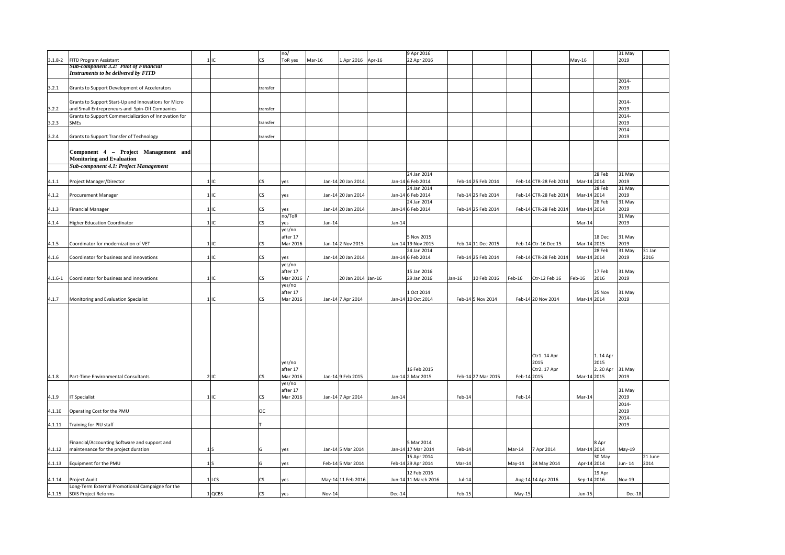|             |                                                                                            |                |           | no/      |                             |          | 9 Apr 2016           |          |                    |             |                        |               | 31 May  |         |
|-------------|--------------------------------------------------------------------------------------------|----------------|-----------|----------|-----------------------------|----------|----------------------|----------|--------------------|-------------|------------------------|---------------|---------|---------|
| $3.1.8 - 2$ | FITD Program Assistant                                                                     | 1 IC           | <b>CS</b> | ToR yes  | Mar-16<br>1 Apr 2016 Apr-16 |          | 22 Apr 2016          |          |                    |             |                        | May-16        | 2019    |         |
|             | <b>Sub-component 3.2: Pilot of Financial</b><br><b>Instruments to be delivered by FITD</b> |                |           |          |                             |          |                      |          |                    |             |                        |               |         |         |
|             |                                                                                            |                |           |          |                             |          |                      |          |                    |             |                        |               | 2014-   |         |
| 3.2.1       | Grants to Support Development of Accelerators                                              |                | transfer  |          |                             |          |                      |          |                    |             |                        |               | 2019    |         |
|             |                                                                                            |                |           |          |                             |          |                      |          |                    |             |                        |               |         |         |
|             | Grants to Support Start-Up and Innovations for Micro                                       |                |           |          |                             |          |                      |          |                    |             |                        |               | 2014-   |         |
| 3.2.2       | and Small Entrepreneurs and Spin-Off Companies                                             |                | transfer  |          |                             |          |                      |          |                    |             |                        |               | 2019    |         |
|             | Grants to Support Commercialization of Innovation for                                      |                |           |          |                             |          |                      |          |                    |             |                        |               | 2014-   |         |
| 3.2.3       | <b>SMEs</b>                                                                                |                | transfer  |          |                             |          |                      |          |                    |             |                        |               | 2019    |         |
|             |                                                                                            |                |           |          |                             |          |                      |          |                    |             |                        |               | 2014-   |         |
| 3.2.4       | Grants to Support Transfer of Technology                                                   |                | transfer  |          |                             |          |                      |          |                    |             |                        |               | 2019    |         |
|             |                                                                                            |                |           |          |                             |          |                      |          |                    |             |                        |               |         |         |
|             | Component 4 - Project Management and                                                       |                |           |          |                             |          |                      |          |                    |             |                        |               |         |         |
|             | <b>Monitoring and Evaluation</b>                                                           |                |           |          |                             |          |                      |          |                    |             |                        |               |         |         |
|             | <b>Sub-component 4.1: Project Management</b>                                               |                |           |          |                             |          |                      |          |                    |             |                        |               |         |         |
|             |                                                                                            |                |           |          |                             |          | 24 Jan 2014          |          |                    |             |                        | 28 Feb        | 31 May  |         |
| 4.1.1       | Project Manager/Director                                                                   | 1 IC           | CS        | yes      | Jan-14 20 Jan 2014          |          | Jan-14 6 Feb 2014    |          | Feb-14 25 Feb 2014 |             | Feb-14 CTR-28 Feb 2014 | Mar-14 2014   | 2019    |         |
|             |                                                                                            |                |           |          |                             |          | 24 Jan 2014          |          |                    |             |                        | 28 Feb        | 31 May  |         |
| 4.1.2       | <b>Procurement Manager</b>                                                                 | $1$ IC         | CS        | yes      | Jan-14 20 Jan 2014          |          | Jan-14 6 Feb 2014    |          | Feb-14 25 Feb 2014 |             | Feb-14 CTR-28 Feb 2014 | Mar-14 2014   | 2019    |         |
|             |                                                                                            |                |           |          |                             |          | 24 Jan 2014          |          |                    |             |                        | 28 Feb        | 31 May  |         |
| 4.1.3       | <b>Financial Manager</b>                                                                   | $1$ IC         | <b>CS</b> | yes      | Jan-14 20 Jan 2014          |          | Jan-14 6 Feb 2014    |          | Feb-14 25 Feb 2014 |             | Feb-14 CTR-28 Feb 2014 | Mar-14 2014   | 2019    |         |
|             |                                                                                            |                |           | no/ToR   |                             |          |                      |          |                    |             |                        |               | 31 May  |         |
| 4.1.4       | <b>Higher Education Coordinator</b>                                                        | 1 IC           | <b>CS</b> | yes      | Jan-14                      | $Jan-14$ |                      |          |                    |             |                        | Mar-14        | 2019    |         |
|             |                                                                                            |                |           | yes/no   |                             |          |                      |          |                    |             |                        |               |         |         |
|             |                                                                                            |                |           | after 17 |                             |          | 5 Nov 2015           |          |                    |             |                        | 18 Dec        | 31 May  |         |
| 4.1.5       | Coordinator for modernization of VET                                                       | 1 IC           | <b>CS</b> | Mar 2016 | Jan-14 2 Nov 2015           |          | Jan-14 19 Nov 2015   |          | Feb-14 11 Dec 2015 |             | Feb-14 Ctr-16 Dec 15   | Mar-14 2015   | 2019    |         |
|             |                                                                                            |                |           |          |                             |          | 24 Jan 2014          |          |                    |             |                        | 28 Feb        | 31 May  | 31 Jan  |
| 4.1.6       | Coordinator for business and innovations                                                   | 1IC            | <b>CS</b> | yes      | Jan-14 20 Jan 2014          |          | Jan-14 6 Feb 2014    |          | Feb-14 25 Feb 2014 |             | Feb-14 CTR-28 Feb 2014 | Mar-14 2014   | 2019    | 2016    |
|             |                                                                                            |                |           | yes/no   |                             |          |                      |          |                    |             |                        |               |         |         |
|             |                                                                                            |                |           | after 17 |                             |          | 15 Jan 2016          |          |                    |             |                        | 17 Feb        | 31 May  |         |
| $4.1.6 - 1$ | Coordinator for business and innovations                                                   | 1IC            | <b>CS</b> | Mar 2016 | 20 Jan 2014 Jan-16          |          | 29 Jan 2016          | $Jan-16$ | 10 Feb 2016        | Feb-16      | Ctr-12 Feb 16          | 2016<br>eb-16 | 2019    |         |
|             |                                                                                            |                |           | yes/no   |                             |          |                      |          |                    |             |                        |               |         |         |
|             |                                                                                            |                |           | after 17 |                             |          | 1 Oct 2014           |          |                    |             |                        | 25 Nov        | 31 May  |         |
| 4.1.7       | Monitoring and Evaluation Specialist                                                       | 1 IC           | <b>CS</b> | Mar 2016 | Jan-14 7 Apr 2014           |          | Jan-14 10 Oct 2014   |          | Feb-14 5 Nov 2014  |             | Feb-14 20 Nov 2014     | Mar-14 2014   | 2019    |         |
|             |                                                                                            |                |           |          |                             |          |                      |          |                    |             |                        |               |         |         |
|             |                                                                                            |                |           |          |                             |          |                      |          |                    |             |                        |               |         |         |
|             |                                                                                            |                |           |          |                             |          |                      |          |                    |             |                        |               |         |         |
|             |                                                                                            |                |           |          |                             |          |                      |          |                    |             |                        |               |         |         |
|             |                                                                                            |                |           |          |                             |          |                      |          |                    |             |                        |               |         |         |
|             |                                                                                            |                |           |          |                             |          |                      |          |                    |             |                        |               |         |         |
|             |                                                                                            |                |           |          |                             |          |                      |          |                    |             |                        |               |         |         |
|             |                                                                                            |                |           |          |                             |          |                      |          |                    |             | Ctr1. 14 Apr           | 1.14 Apr      |         |         |
|             |                                                                                            |                |           | yes/no   |                             |          |                      |          |                    |             | 2015                   | 2015          |         |         |
|             |                                                                                            |                |           | after 17 |                             |          | 16 Feb 2015          |          |                    |             | Ctr2. 17 Apr           | 2. 20 Apr     | 31 May  |         |
| 4.1.8       | Part-Time Environmental Consultants                                                        | 2 IC           | <b>CS</b> | Mar 2016 | Jan-14 9 Feb 2015           |          | Jan-14 2 Mar 2015    |          | Feb-14 27 Mar 2015 | Feb-14 2015 |                        | Mar-14 2015   | 2019    |         |
|             |                                                                                            |                |           | yes/no   |                             |          |                      |          |                    |             |                        |               |         |         |
|             |                                                                                            |                |           | after 17 |                             |          |                      |          |                    |             |                        |               | 31 May  |         |
| 4.1.9       | <b>IT Specialist</b>                                                                       | 1 IC           | CS        | Mar 2016 | Jan-14 7 Apr 2014           | $Jan-14$ |                      | Feb-14   |                    | Feb-14      |                        | Mar-14        | 2019    |         |
|             |                                                                                            |                |           |          |                             |          |                      |          |                    |             |                        |               | 2014-   |         |
| 4.1.10      | Operating Cost for the PMU                                                                 |                | ОC        |          |                             |          |                      |          |                    |             |                        |               | 2019    |         |
|             |                                                                                            |                |           |          |                             |          |                      |          |                    |             |                        |               | 2014-   |         |
| 4.1.11      | Training for PIU staff                                                                     |                |           |          |                             |          |                      |          |                    |             |                        |               | 2019    |         |
|             |                                                                                            |                |           |          |                             |          |                      |          |                    |             |                        |               |         |         |
|             | Financial/Accounting Software and support and                                              |                |           |          |                             |          | 5 Mar 2014           |          |                    |             |                        | 8 Apr         |         |         |
| 4.1.12      | maintenance for the project duration                                                       | 1S             | G         | yes      | Jan-14 5 Mar 2014           |          | Jan-14 17 Mar 2014   | Feb-14   |                    | Mar-14      | 7 Apr 2014             | Mar-14 2014   | May-19  |         |
|             |                                                                                            |                |           |          |                             |          | 15 Apr 2014          |          |                    |             |                        | 30 May        |         | 21 June |
| 4.1.13      | Equipment for the PMU                                                                      | 1 <sub>S</sub> | G         | yes      | Feb-14 5 Mar 2014           |          | Feb-14 29 Apr 2014   | Mar-14   |                    | May-14      | 24 May 2014            | Apr-14 2014   | Jun- 14 | 2014    |
|             |                                                                                            |                |           |          |                             |          |                      |          |                    |             |                        |               |         |         |
|             |                                                                                            |                |           |          |                             |          | 12 Feb 2016          |          |                    |             |                        | 19 Apr        |         |         |
| 4.1.14      | Project Audit                                                                              | 1 LCS          | CS        | yes      | May-14 11 Feb 2016          |          | Jun-14 11 March 2016 | $Jul-14$ |                    |             | Aug-14 14 Apr 2016     | Sep-14 2016   | Nov-19  |         |
|             | Long-Term External Promotional Campaigne for the                                           |                |           |          |                             |          |                      |          |                    |             |                        |               |         |         |
| 4.1.15      | <b>SDIS Project Reforms</b>                                                                | $1$ QCBS       | <b>CS</b> | yes      | Nov-14                      | Dec-14   |                      | Feb-15   |                    | May-15      |                        | Jun-15        | Dec-18  |         |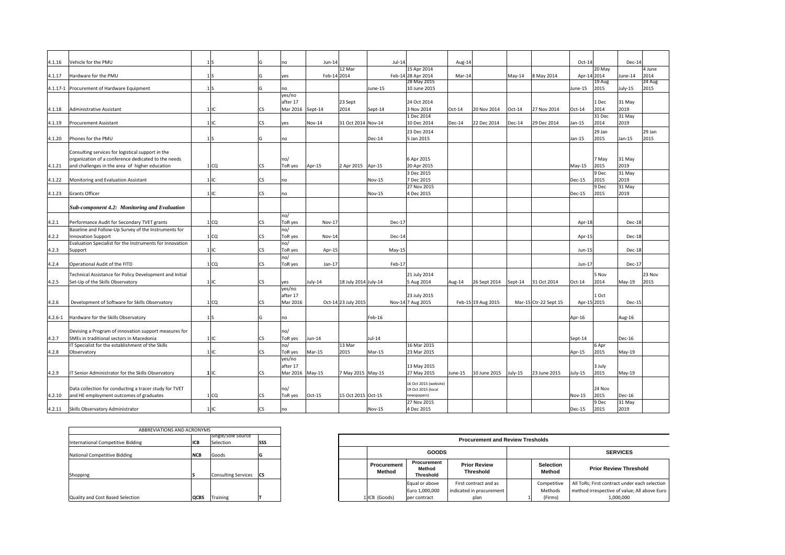| 4.1.16      | Vehicle for the PMU                                      | 1S              | G         | no               |               | $Jun-14$             | $Jul-14$      |                       | Aug-14   |                    |          |                       | $Oct-14$ |             | Dec-14  |        |
|-------------|----------------------------------------------------------|-----------------|-----------|------------------|---------------|----------------------|---------------|-----------------------|----------|--------------------|----------|-----------------------|----------|-------------|---------|--------|
|             |                                                          |                 |           |                  |               | 12 Mar               |               | 15 Apr 2014           |          |                    |          |                       |          | 20 May      |         | 4 June |
| 4.1.17      | Hardware for the PMU                                     | $1\vert S$      | G         | yes              |               | Feb-14 2014          |               | Feb-14 28 Apr 2014    | Mar-14   |                    | May-14   | 8 May 2014            |          | Apr-14 2014 | June-14 | 2014   |
|             |                                                          |                 |           |                  |               |                      |               | 28 May 2015           |          |                    |          |                       |          | 19 Aug      |         | 24 Aug |
|             | 4.1.17-1 Procurement of Hardware Equipment               | $1\vert S$      | G         | no               |               |                      | June-15       | 10 June 2015          |          |                    |          |                       | June-15  | 2015        | July-15 | 2015   |
|             |                                                          |                 |           | yes/no           |               |                      |               |                       |          |                    |          |                       |          |             |         |        |
|             |                                                          |                 |           | after 17         |               | 23 Sept              |               | 24 Oct 2014           |          |                    |          |                       |          | 1 Dec       | 31 May  |        |
|             |                                                          |                 |           |                  |               | 2014                 |               |                       |          |                    |          |                       |          | 2014        | 2019    |        |
| 4.1.18      | <b>Administrative Assistant</b>                          | 1IC             | <b>CS</b> | Mar 2016 Sept-14 |               |                      | Sept-14       | 3 Nov 2014            | $Oct-14$ | 20 Nov 2014        | $Oct-14$ | 27 Nov 2014           | $Oct-14$ |             |         |        |
|             |                                                          |                 |           |                  |               |                      |               | 1 Dec 2014            |          |                    |          |                       |          | 31 Dec      | 31 May  |        |
| 4.1.19      | <b>Procurement Assistant</b>                             | $1$ IC          | <b>CS</b> | yes              | <b>Nov-14</b> | 31 Oct 2014 Nov-14   |               | 10 Dec 2014           | Dec-14   | 22 Dec 2014        | Dec-14   | 29 Dec 2014           | Jan-15   | 2014        | 2019    |        |
|             |                                                          |                 |           |                  |               |                      |               | 23 Dec 2014           |          |                    |          |                       |          | 29 Jan      |         | 29 Jan |
| 4.1.20      | Phones for the PMU                                       | 1S              | G         | no               |               |                      | Dec-14        | 5 Jan 2015            |          |                    |          |                       | $Jan-15$ | 2015        | Jan-15  | 2015   |
|             |                                                          |                 |           |                  |               |                      |               |                       |          |                    |          |                       |          |             |         |        |
|             |                                                          |                 |           |                  |               |                      |               |                       |          |                    |          |                       |          |             |         |        |
|             | Consulting services for logistical support in the        |                 |           |                  |               |                      |               |                       |          |                    |          |                       |          |             |         |        |
|             | organization of a conference dedicated to the needs      |                 |           | no/              |               |                      |               | 6 Apr 2015            |          |                    |          |                       |          | 7 May       | 31 May  |        |
| 4.1.21      | and challenges in the area of higher education           | 1 <sub>CO</sub> | <b>CS</b> | ToR yes          | Apr-15        | 2 Apr 2015           | Apr-15        | 20 Apr 2015           |          |                    |          |                       | May-15   | 2015        | 2019    |        |
|             |                                                          |                 |           |                  |               |                      |               | 3 Dec 2015            |          |                    |          |                       |          | 9 Dec       | 31 May  |        |
| 4.1.22      | Monitoring and Evaluation Assistant                      | 1IC             | <b>CS</b> | no               |               |                      | <b>Nov-15</b> | 7 Dec 2015            |          |                    |          |                       | Dec-15   | 2015        | 2019    |        |
|             |                                                          |                 |           |                  |               |                      |               | 27 Nov 2015           |          |                    |          |                       |          | 9 Dec       | 31 May  |        |
| 4.1.23      | <b>Grants Officer</b>                                    | $1$ IC          | <b>CS</b> |                  |               |                      | <b>Nov-15</b> | 4 Dec 2015            |          |                    |          |                       | Dec-15   | 2015        | 2019    |        |
|             |                                                          |                 |           | no               |               |                      |               |                       |          |                    |          |                       |          |             |         |        |
|             |                                                          |                 |           |                  |               |                      |               |                       |          |                    |          |                       |          |             |         |        |
|             | Sub-component 4.2: Monitoring and Evaluation             |                 |           |                  |               |                      |               |                       |          |                    |          |                       |          |             |         |        |
|             |                                                          |                 |           | no/              |               |                      |               |                       |          |                    |          |                       |          |             |         |        |
| 4.2.1       | Performance Audit for Secondary TVET grants              | 1 <sub>CO</sub> | <b>CS</b> | ToR yes          |               | $Nov-17$             | Dec-17        |                       |          |                    |          |                       | Apr-18   |             | Dec-18  |        |
|             |                                                          |                 |           |                  |               |                      |               |                       |          |                    |          |                       |          |             |         |        |
|             | Baseline and Follow-Up Survey of the Instruments for     |                 |           | no/              |               |                      |               |                       |          |                    |          |                       |          |             |         |        |
| 4.2.2       | <b>Innovation Support</b>                                | 1 <sub>CO</sub> | <b>CS</b> | ToR yes          |               | Nov-14               | Dec-14        |                       |          |                    |          |                       | Apr-15   |             | Dec-18  |        |
|             | Evaluation Specialist for the Instruments for Innovation |                 |           | no/              |               |                      |               |                       |          |                    |          |                       |          |             |         |        |
| 4.2.3       | Support                                                  | 1IC             | <b>CS</b> | ToR yes          |               | Apr-15               | $May-15$      |                       |          |                    |          |                       | Jun-15   |             | Dec-18  |        |
|             |                                                          |                 |           | no/              |               |                      |               |                       |          |                    |          |                       |          |             |         |        |
| 4.2.4       | Operational Audit of the FITD                            | 1 <sub>CO</sub> | <b>CS</b> | ToR yes          |               | $Jan-17$             | Feb-17        |                       |          |                    |          |                       | Jun-17   |             | Dec-17  |        |
|             |                                                          |                 |           |                  |               |                      |               |                       |          |                    |          |                       |          |             |         |        |
|             | Technical Assistance for Policy Development and Initial  |                 |           |                  |               |                      |               | 21 July 2014          |          |                    |          |                       |          | 5 Nov       |         | 23 Nov |
| 4.2.5       | Set-Up of the Skills Observatory                         | 1IC             | <b>CS</b> | yes              | July-14       | 18 July 2014 July-14 |               | 5 Aug 2014            | Aug-14   | 26 Sept 2014       | Sept-14  | 31 Oct 2014           | $Oct-14$ | 2014        | May-19  | 2015   |
|             |                                                          |                 |           | yes/no           |               |                      |               |                       |          |                    |          |                       |          |             |         |        |
|             |                                                          |                 |           | after 17         |               |                      |               | 23 July 2015          |          |                    |          |                       |          | 1 Oct       |         |        |
|             |                                                          |                 |           |                  |               |                      |               |                       |          |                    |          |                       |          |             |         |        |
| 4.2.6       | Development of Software for Skills Observatory           | 1 <sub>CO</sub> | <b>CS</b> | Mar 2016         |               | Oct-14 23 July 2015  |               | Nov-14 7 Aug 2015     |          | Feb-15 19 Aug 2015 |          | Mar-15 Ctr-22 Sept 15 |          | Apr-15 2015 | Dec-15  |        |
|             |                                                          |                 |           |                  |               |                      |               |                       |          |                    |          |                       |          |             |         |        |
| $4.2.6 - 1$ | Hardware for the Skills Observatory                      | $1\vert S$      | G         | no               |               |                      | Feb-16        |                       |          |                    |          |                       | Apr-16   |             | Aug-16  |        |
|             |                                                          |                 |           |                  |               |                      |               |                       |          |                    |          |                       |          |             |         |        |
|             | Devising a Program of innovation support measures for    |                 |           | no/              |               |                      |               |                       |          |                    |          |                       |          |             |         |        |
|             |                                                          |                 |           |                  |               |                      | $Jul-14$      |                       |          |                    |          |                       |          |             |         |        |
| 4.2.7       | SMEs in traditional sectors in Macedonia                 | $1$ IC          | <b>CS</b> | ToR yes          | Jun-14        |                      |               |                       |          |                    |          |                       | Sept-14  |             | Dec-16  |        |
|             | IT Specialist for the establishment of the Skills        |                 |           | no/              |               | 13 Mar               |               | 16 Mar 2015           |          |                    |          |                       |          | 6 Apr       |         |        |
| 4.2.8       | Observatory                                              | 1IC             | <b>CS</b> | ToR yes          | Mar-15        | 2015                 | Mar-15        | 23 Mar 2015           |          |                    |          |                       | Apr-15   | 2015        | May-19  |        |
|             |                                                          |                 |           | yes/no           |               |                      |               |                       |          |                    |          |                       |          |             |         |        |
|             |                                                          |                 |           | after 17         |               |                      |               | 13 May 2015           |          |                    |          |                       |          | 3 July      |         |        |
| 4.2.9       | IT Senior Administrator for the Skills Observatory       | $1$ IC          | <b>CS</b> | Mar 2016 May-15  |               | 7 May 2015 May-15    |               | 27 May 2015           | June-15  | 10 June 2015       | July-15  | 23 June 2015          | July-15  | 2015        | May-19  |        |
|             |                                                          |                 |           |                  |               |                      |               |                       |          |                    |          |                       |          |             |         |        |
|             |                                                          |                 |           |                  |               |                      |               | 16 Oct 2015 (website) |          |                    |          |                       |          |             |         |        |
|             | Data collection for conducting a tracer study for TVET   |                 |           | no/              |               |                      |               | 19 Oct 2015 (local    |          |                    |          |                       |          | 24 Nov      |         |        |
| 4.2.10      | and HE employment outcomes of graduates                  | 1 <sub>CO</sub> | <b>CS</b> | ToR yes          | Oct-15        | 15 Oct 2015 Oct-15   |               | newspapers)           |          |                    |          |                       | Nov-15   | 2015        | Dec-16  |        |
|             |                                                          |                 |           |                  |               |                      |               | 27 Nov 2015           |          |                    |          |                       |          | 9 Dec       | 31 May  |        |
|             |                                                          |                 |           |                  |               |                      |               |                       |          |                    |          |                       |          |             |         |        |
| 4.2.11      | Skills Observatory Administrator                         | $1$ IC          | <b>CS</b> | no               |               |                      | <b>Nov-15</b> | 4 Dec 2015            |          |                    |          |                       | Dec-15   | 2015        | 2019    |        |

|                                   | ABBREVIATIONS AND ACRONYMS |                            |           |
|-----------------------------------|----------------------------|----------------------------|-----------|
|                                   |                            | Single/Sole Source         |           |
| International Competitive Bidding | ICB                        | Selection                  | SSS       |
| National Competitive Bidding      | <b>NCB</b>                 | Goods                      | G         |
| Shopping                          |                            | <b>Consulting Services</b> | <b>CS</b> |
|                                   |                            |                            |           |
|                                   |                            |                            |           |
| Quality and Cost Based Selection  | QCBS                       | Training                   |           |

|                       |                                           | <b>Procurement and Review Tresholds</b>           |                            |                                                                                               |
|-----------------------|-------------------------------------------|---------------------------------------------------|----------------------------|-----------------------------------------------------------------------------------------------|
|                       | <b>GOODS</b>                              |                                                   |                            | <b>SERVICES</b>                                                                               |
| Procurement<br>Method | Procurement<br>Method<br><b>Threshold</b> | <b>Prior Review</b><br><b>Threshold</b>           | <b>Selection</b><br>Method | <b>Prior Review Threshold</b>                                                                 |
|                       | Equal or above<br>Euro 1,000,000          | First contract and as<br>indicated in procurement | Competitive<br>Methods     | All ToRs; First contract under each selection<br>method irrespective of value; All above Euro |
| 1 ICB (Goods)         | per contract                              | plan                                              | (Firms)                    | 1.000.000                                                                                     |